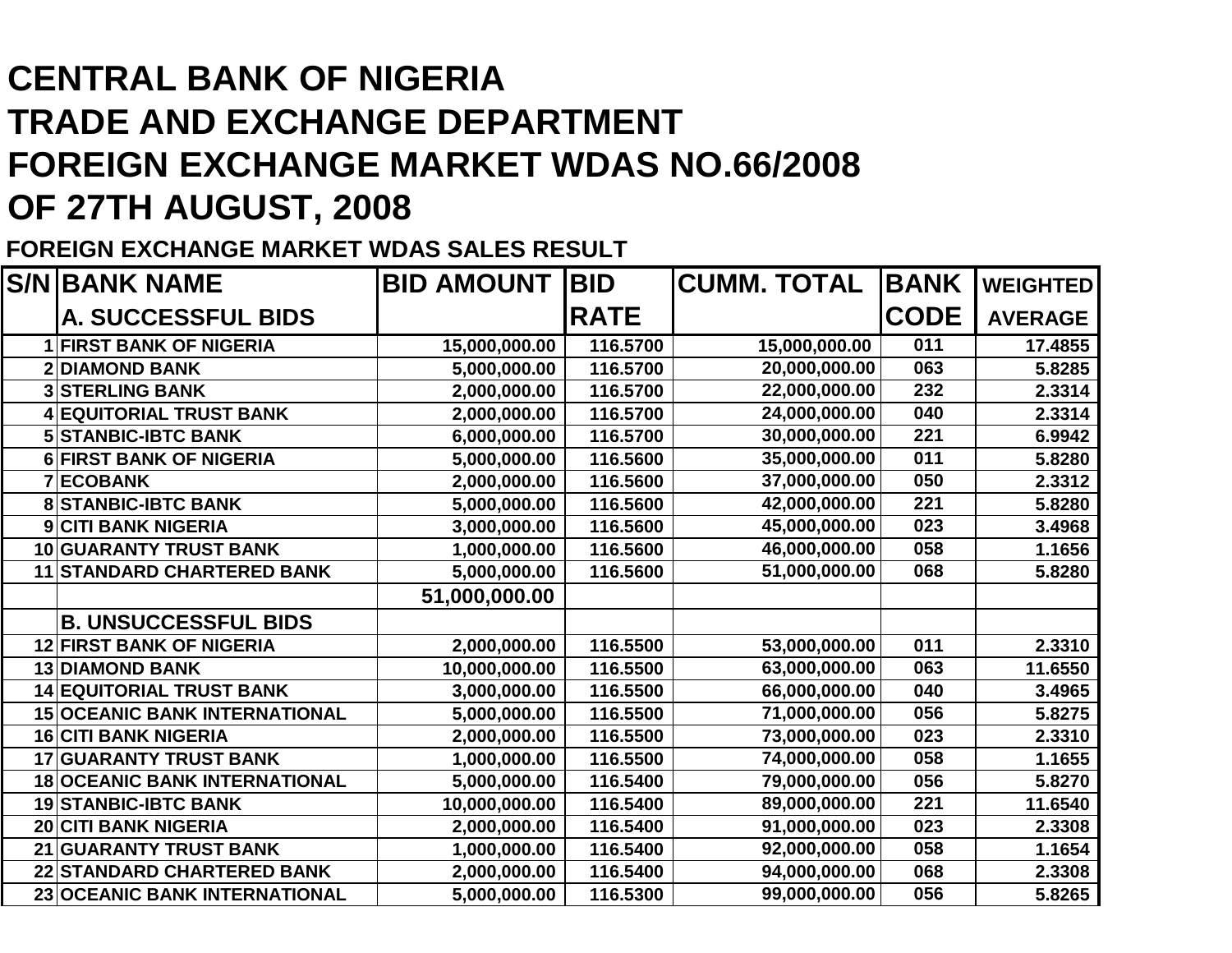## **CENTRAL BANK OF NIGERIA TRADE AND EXCHANGE DEPARTMENT FOREIGN EXCHANGE MARKET WDAS NO.66/2008OF 27TH AUGUST, 2008**

**FOREIGN EXCHANGE MARKET WDAS SALES RESULT**

| <b>S/NIBANK NAME</b>                 | <b>BID AMOUNT</b> | <b>BID</b>  | <b>CUMM. TOTAL</b> | <b>BANK</b> | <b>WEIGHTED</b> |
|--------------------------------------|-------------------|-------------|--------------------|-------------|-----------------|
| <b>A. SUCCESSFUL BIDS</b>            |                   | <b>RATE</b> |                    | <b>CODE</b> | <b>AVERAGE</b>  |
| <b>1 FIRST BANK OF NIGERIA</b>       | 15,000,000.00     | 116.5700    | 15,000,000.00      | 011         | 17.4855         |
| <b>2 DIAMOND BANK</b>                | 5,000,000.00      | 116.5700    | 20,000,000.00      | 063         | 5.8285          |
| <b>3 STERLING BANK</b>               | 2,000,000.00      | 116.5700    | 22,000,000.00      | 232         | 2.3314          |
| <b>EQUITORIAL TRUST BANK</b>         | 2,000,000.00      | 116.5700    | 24,000,000.00      | 040         | 2.3314          |
| <b>5 STANBIC-IBTC BANK</b>           | 6,000,000.00      | 116.5700    | 30,000,000.00      | 221         | 6.9942          |
| <b>6 FIRST BANK OF NIGERIA</b>       | 5,000,000.00      | 116.5600    | 35,000,000.00      | 011         | 5.8280          |
| <b>7 ECOBANK</b>                     | 2,000,000.00      | 116.5600    | 37,000,000.00      | 050         | 2.3312          |
| <b>8 STANBIC-IBTC BANK</b>           | 5,000,000.00      | 116.5600    | 42,000,000.00      | 221         | 5.8280          |
| <b>9 CITI BANK NIGERIA</b>           | 3,000,000.00      | 116.5600    | 45,000,000.00      | 023         | 3.4968          |
| <b>10 GUARANTY TRUST BANK</b>        | 1,000,000.00      | 116.5600    | 46,000,000.00      | 058         | 1.1656          |
| <b>11 STANDARD CHARTERED BANK</b>    | 5,000,000.00      | 116.5600    | 51,000,000.00      | 068         | 5.8280          |
|                                      | 51,000,000.00     |             |                    |             |                 |
| <b>B. UNSUCCESSFUL BIDS</b>          |                   |             |                    |             |                 |
| <b>12 FIRST BANK OF NIGERIA</b>      | 2,000,000.00      | 116.5500    | 53,000,000.00      | 011         | 2.3310          |
| <b>13 DIAMOND BANK</b>               | 10,000,000.00     | 116.5500    | 63,000,000.00      | 063         | 11.6550         |
| <b>14 EQUITORIAL TRUST BANK</b>      | 3,000,000.00      | 116.5500    | 66,000,000.00      | 040         | 3.4965          |
| <b>15 OCEANIC BANK INTERNATIONAL</b> | 5,000,000.00      | 116.5500    | 71,000,000.00      | 056         | 5.8275          |
| <b>16 CITI BANK NIGERIA</b>          | 2,000,000.00      | 116.5500    | 73,000,000.00      | 023         | 2.3310          |
| <b>17 GUARANTY TRUST BANK</b>        | 1,000,000.00      | 116.5500    | 74,000,000.00      | 058         | 1.1655          |
| <b>18 OCEANIC BANK INTERNATIONAL</b> | 5,000,000.00      | 116.5400    | 79,000,000.00      | 056         | 5.8270          |
| <b>19 STANBIC-IBTC BANK</b>          | 10,000,000.00     | 116.5400    | 89,000,000.00      | 221         | 11.6540         |
| <b>20 CITI BANK NIGERIA</b>          | 2,000,000.00      | 116.5400    | 91,000,000.00      | 023         | 2.3308          |
| 21 GUARANTY TRUST BANK               | 1,000,000.00      | 116.5400    | 92,000,000.00      | 058         | 1.1654          |
| <b>22 STANDARD CHARTERED BANK</b>    | 2,000,000.00      | 116.5400    | 94,000,000.00      | 068         | 2.3308          |
| 23 OCEANIC BANK INTERNATIONAL        | 5,000,000.00      | 116.5300    | 99,000,000.00      | 056         | 5.8265          |